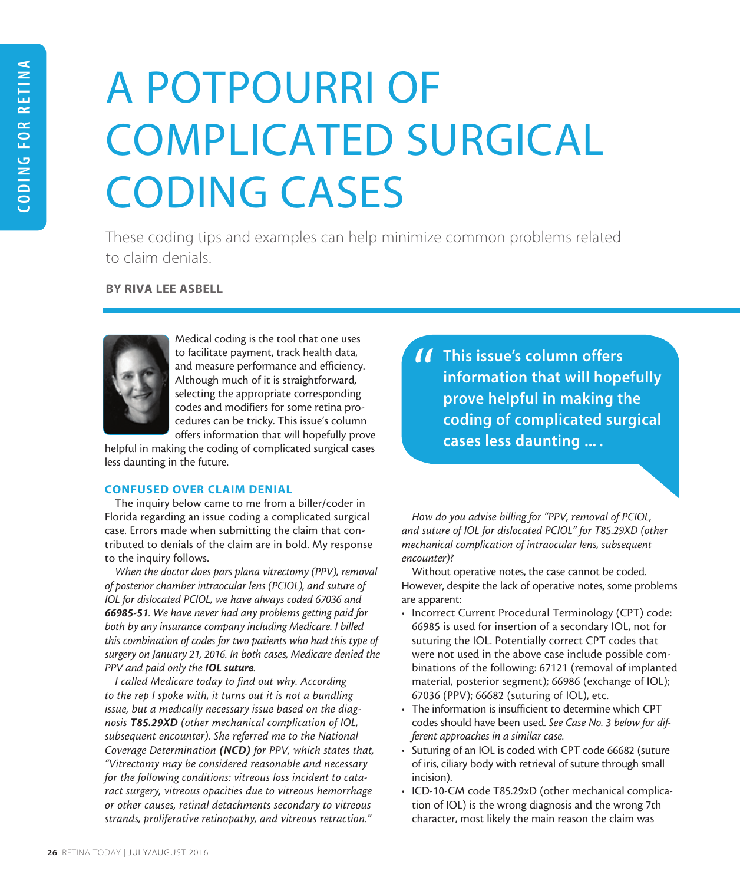# A POTPOURRI OF COMPLICATED SURGICAL CODING CASES

These coding tips and examples can help minimize common problems related to claim denials.

BY RIVA LEE ASBELL



Medical coding is the tool that one uses to facilitate payment, track health data, and measure performance and efficiency. Although much of it is straightforward, selecting the appropriate corresponding codes and modifiers for some retina procedures can be tricky. This issue's column offers information that will hopefully prove

helpful in making the coding of complicated surgical cases less daunting in the future.

# CONFUSED OVER CLAIM DENIAL

The inquiry below came to me from a biller/coder in Florida regarding an issue coding a complicated surgical case. Errors made when submitting the claim that contributed to denials of the claim are in bold. My response to the inquiry follows.

*When the doctor does pars plana vitrectomy (PPV), removal of posterior chamber intraocular lens (PCIOL), and suture of IOL for dislocated PCIOL, we have always coded 67036 and 66985-51. We have never had any problems getting paid for both by any insurance company including Medicare. I billed this combination of codes for two patients who had this type of surgery on January 21, 2016. In both cases, Medicare denied the PPV and paid only the IOL suture.*

*I called Medicare today to find out why. According to the rep I spoke with, it turns out it is not a bundling issue, but a medically necessary issue based on the diagnosis T85.29XD (other mechanical complication of IOL, subsequent encounter). She referred me to the National Coverage Determination (NCD) for PPV, which states that, "Vitrectomy may be considered reasonable and necessary for the following conditions: vitreous loss incident to cataract surgery, vitreous opacities due to vitreous hemorrhage or other causes, retinal detachments secondary to vitreous strands, proliferative retinopathy, and vitreous retraction."*

**11** This issue's column offers<br>information that will hope<br>prove helpful in making tl information that will hopefully prove helpful in making the coding of complicated surgical cases less daunting ... .

*How do you advise billing for "PPV, removal of PCIOL, and suture of IOL for dislocated PCIOL" for T85.29XD (other mechanical complication of intraocular lens, subsequent encounter)?*

Without operative notes, the case cannot be coded. However, despite the lack of operative notes, some problems are apparent:

- Incorrect Current Procedural Terminology (CPT) code: 66985 is used for insertion of a secondary IOL, not for suturing the IOL. Potentially correct CPT codes that were not used in the above case include possible combinations of the following: 67121 (removal of implanted material, posterior segment); 66986 (exchange of IOL); 67036 (PPV); 66682 (suturing of IOL), etc.
- The information is insufficient to determine which CPT codes should have been used. *See Case No. 3 below for different approaches in a similar case.*
- Suturing of an IOL is coded with CPT code 66682 (suture of iris, ciliary body with retrieval of suture through small incision).
- ICD-10-CM code T85.29xD (other mechanical complication of IOL) is the wrong diagnosis and the wrong 7th character, most likely the main reason the claim was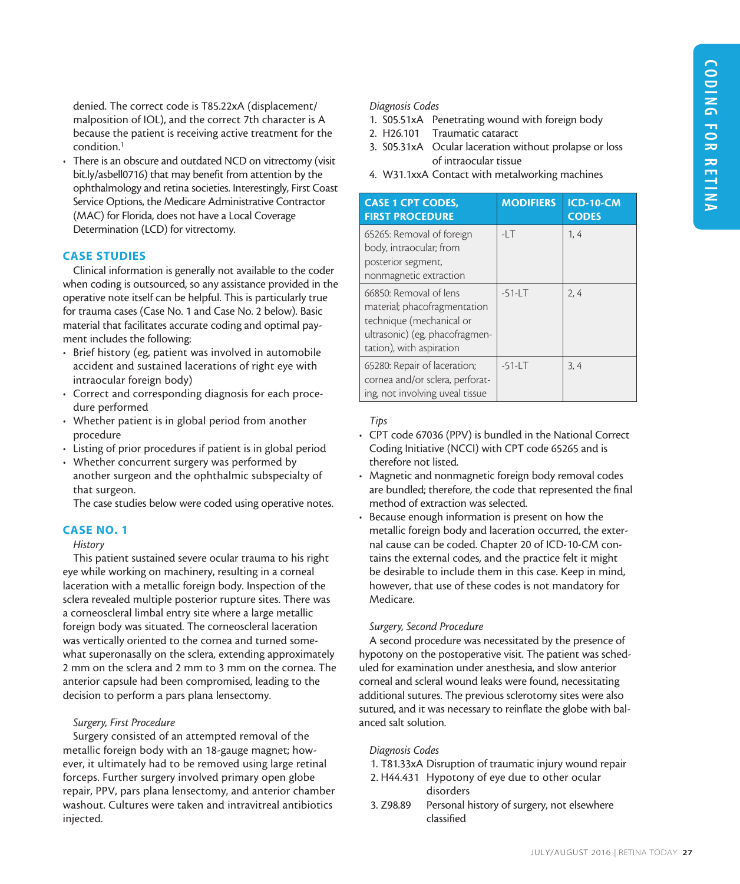denied. The correct code is T85.22xA (displacement/ malposition of IOL), and the correct 7th character is A because the patient is receiving active treatment for the condition.1

• There is an obscure and outdated NCD on vitrectomy (visit bit.ly/asbell0716) that may benefit from attention by the ophthalmology and retina societies. Interestingly, First Coast Service Options, the Medicare Administrative Contractor (MAC) for Florida, does not have a Local Coverage Determination (LCD) for vitrectomy.

#### CASE STUDIES

Clinical information is generally not available to the coder when coding is outsourced, so any assistance provided in the operative note itself can be helpful. This is particularly true for trauma cases (Case No. 1 and Case No. 2 below). Basic material that facilitates accurate coding and optimal payment includes the following:

- Brief history (eg, patient was involved in automobile accident and sustained lacerations of right eye with intraocular foreign body)
- Correct and corresponding diagnosis for each procedure performed
- Whether patient is in global period from another procedure
- Listing of prior procedures if patient is in global period
- Whether concurrent surgery was performed by another surgeon and the ophthalmic subspecialty of that surgeon.

The case studies below were coded using operative notes.

#### CASE NO. 1

## *History*

This patient sustained severe ocular trauma to his right eye while working on machinery, resulting in a corneal laceration with a metallic foreign body. Inspection of the sclera revealed multiple posterior rupture sites. There was a corneoscleral limbal entry site where a large metallic foreign body was situated. The corneoscleral laceration was vertically oriented to the cornea and turned somewhat superonasally on the sclera, extending approximately 2 mm on the sclera and 2 mm to 3 mm on the cornea. The anterior capsule had been compromised, leading to the decision to perform a pars plana lensectomy.

#### *Surgery, First Procedure*

Surgery consisted of an attempted removal of the metallic foreign body with an 18-gauge magnet; however, it ultimately had to be removed using large retinal forceps. Further surgery involved primary open globe repair, PPV, pars plana lensectomy, and anterior chamber washout. Cultures were taken and intravitreal antibiotics injected.

#### *Diagnosis Codes*

- 1. S05.51xA Penetrating wound with foreign body
- 2. H26.101 Traumatic cataract
- 3. S05.31xA Ocular laceration without prolapse or loss of intraocular tissue
- 4. W31.1xxA Contact with metalworking machines

| <b>CASE 1 CPT CODES,</b><br><b>FIRST PROCEDURE</b>                                                                                               | <b>MODIFIERS</b> | <b>ICD-10-CM</b><br><b>CODES</b> |
|--------------------------------------------------------------------------------------------------------------------------------------------------|------------------|----------------------------------|
| 65265: Removal of foreign<br>body, intraocular; from<br>posterior segment,<br>nonmagnetic extraction                                             | $-1$             | 1, 4                             |
| 66850: Removal of lens<br>material; phacofragmentation<br>technique (mechanical or<br>ultrasonic) (eg, phacofragmen-<br>tation), with aspiration | $-51 - LT$       | 2, 4                             |
| 65280: Repair of laceration;<br>cornea and/or sclera, perforat-<br>ing, not involving uveal tissue                                               | $-51 - LT$       | 3, 4                             |

#### *Tips*

- CPT code 67036 (PPV) is bundled in the National Correct Coding Initiative (NCCI) with CPT code 65265 and is therefore not listed.
- Magnetic and nonmagnetic foreign body removal codes are bundled; therefore, the code that represented the final method of extraction was selected.
- Because enough information is present on how the metallic foreign body and laceration occurred, the external cause can be coded. Chapter 20 of ICD-10-CM contains the external codes, and the practice felt it might be desirable to include them in this case. Keep in mind, however, that use of these codes is not mandatory for Medicare.

#### *Surgery, Second Procedure*

A second procedure was necessitated by the presence of hypotony on the postoperative visit. The patient was scheduled for examination under anesthesia, and slow anterior corneal and scleral wound leaks were found, necessitating additional sutures. The previous sclerotomy sites were also sutured, and it was necessary to reinflate the globe with balanced salt solution.

#### *Diagnosis Codes*

- 1. T81.33xA Disruption of traumatic injury wound repair
- 2. H44.431 Hypotony of eye due to other ocular disorders
- 3. Z98.89 Personal history of surgery, not elsewhere classified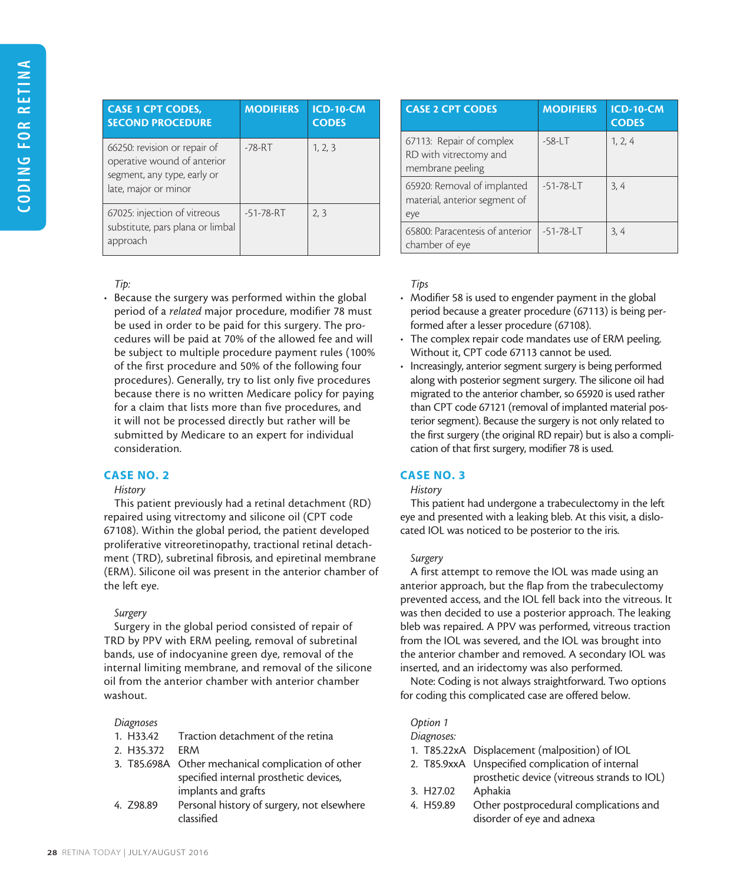| <b>CASE 1 CPT CODES,</b><br><b>SECOND PROCEDURE</b>                                                                | <b>MODIFIERS</b> | <b>ICD-10-CM</b><br><b>CODES</b> |
|--------------------------------------------------------------------------------------------------------------------|------------------|----------------------------------|
| 66250: revision or repair of<br>operative wound of anterior<br>segment, any type, early or<br>late, major or minor | $-78 - RT$       | 1, 2, 3                          |
| 67025: injection of vitreous<br>substitute, pars plana or limbal<br>approach                                       | $-51 - 78 - RT$  | 2, 3                             |

# *Tip:*

• Because the surgery was performed within the global period of a *related* major procedure, modifier 78 must be used in order to be paid for this surgery. The procedures will be paid at 70% of the allowed fee and will be subject to multiple procedure payment rules (100% of the first procedure and 50% of the following four procedures). Generally, try to list only five procedures because there is no written Medicare policy for paying for a claim that lists more than five procedures, and it will not be processed directly but rather will be submitted by Medicare to an expert for individual consideration.

# CASE NO. 2

## *History*

This patient previously had a retinal detachment (RD) repaired using vitrectomy and silicone oil (CPT code 67108). Within the global period, the patient developed proliferative vitreoretinopathy, tractional retinal detachment (TRD), subretinal fibrosis, and epiretinal membrane (ERM). Silicone oil was present in the anterior chamber of the left eye.

## *Surgery*

Surgery in the global period consisted of repair of TRD by PPV with ERM peeling, removal of subretinal bands, use of indocyanine green dye, removal of the internal limiting membrane, and removal of the silicone oil from the anterior chamber with anterior chamber washout.

## *Diagnoses*

- 1. H33.42 Traction detachment of the retina
- 2. H35.372 ERM
- 3. T85.698A Other mechanical complication of other specified internal prosthetic devices, implants and grafts
- 4. Z98.89 Personal history of surgery, not elsewhere classified

| <b>CASE 2 CPT CODES</b>                                                | <b>MODIFIERS</b> | <b>ICD-10-CM</b><br><b>CODES</b> |
|------------------------------------------------------------------------|------------------|----------------------------------|
| 67113: Repair of complex<br>RD with vitrectomy and<br>membrane peeling | $-58 - LT$       | 1, 2, 4                          |
| 65920: Removal of implanted<br>material, anterior segment of<br>eye    | $-51 - 78 - LT$  | 3, 4                             |
| 65800: Paracentesis of anterior<br>chamber of eye                      | $-51 - 78 - LT$  | 3, 4                             |

# *Tips*

- Modifier 58 is used to engender payment in the global period because a greater procedure (67113) is being performed after a lesser procedure (67108).
- The complex repair code mandates use of ERM peeling. Without it, CPT code 67113 cannot be used.
- Increasingly, anterior segment surgery is being performed along with posterior segment surgery. The silicone oil had migrated to the anterior chamber, so 65920 is used rather than CPT code 67121 (removal of implanted material posterior segment). Because the surgery is not only related to the first surgery (the original RD repair) but is also a complication of that first surgery, modifier 78 is used.

# CASE NO. 3

## *History*

This patient had undergone a trabeculectomy in the left eye and presented with a leaking bleb. At this visit, a dislocated IOL was noticed to be posterior to the iris.

## *Surgery*

A first attempt to remove the IOL was made using an anterior approach, but the flap from the trabeculectomy prevented access, and the IOL fell back into the vitreous. It was then decided to use a posterior approach. The leaking bleb was repaired. A PPV was performed, vitreous traction from the IOL was severed, and the IOL was brought into the anterior chamber and removed. A secondary IOL was inserted, and an iridectomy was also performed.

Note: Coding is not always straightforward. Two options for coding this complicated case are offered below.

## *Option 1*

#### *Diagnoses:*

- 1. T85.22xA Displacement (malposition) of IOL
- 2. T85.9xxA Unspecified complication of internal prosthetic device (vitreous strands to IOL) 3. H27.02 Aphakia
- 
- 4. H59.89 Other postprocedural complications and disorder of eye and adnexa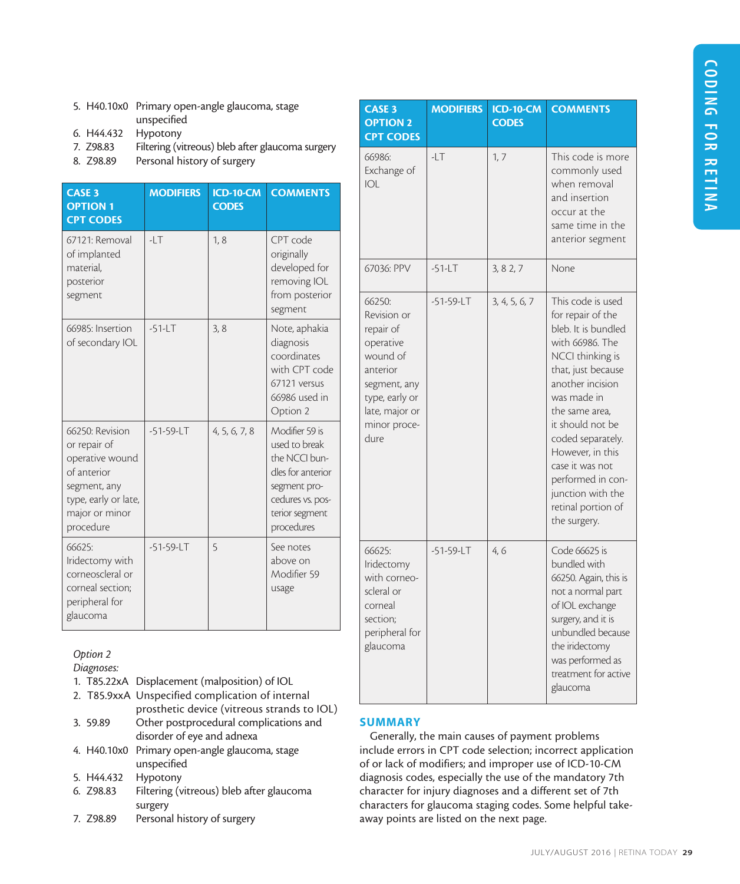- 5. H40.10x0 Primary open-angle glaucoma, stage unspecified
- 6. H44.432 Hypotony
- 7. Z98.83 Filtering (vitreous) bleb after glaucoma surgery
- 8. Z98.89 Personal history of surgery

| <b>CASE 3</b><br><b>OPTION 1</b><br><b>CPT CODES</b>                                                                                     | <b>MODIFIERS</b> | <b>ICD-10-CM</b><br><b>CODES</b> | <b>COMMENTS</b>                                                                                                                           |
|------------------------------------------------------------------------------------------------------------------------------------------|------------------|----------------------------------|-------------------------------------------------------------------------------------------------------------------------------------------|
| 67121: Removal<br>of implanted<br>material,<br>posterior<br>segment                                                                      | $-1.$            | 1, 8                             | CPT code<br>originally<br>developed for<br>removing IOL<br>from posterior<br>segment                                                      |
| 66985: Insertion<br>of secondary IOL                                                                                                     | $-51$ -LT        | 3, 8                             | Note, aphakia<br>diagnosis<br>coordinates<br>with CPT code<br>67121 versus<br>66986 used in<br>Option 2                                   |
| 66250: Revision<br>or repair of<br>operative wound<br>of anterior<br>segment, any<br>type, early or late,<br>major or minor<br>procedure | $-51 - 59 - LT$  | 4, 5, 6, 7, 8                    | Modifier 59 is<br>used to break<br>the NCCI bun-<br>dles for anterior<br>segment pro-<br>cedures vs. pos-<br>terior segment<br>procedures |
| 66625:<br>Iridectomy with<br>corneoscleral or<br>corneal section;<br>peripheral for<br>glaucoma                                          | $-51 - 59 - LT$  | 5                                | See notes<br>above on<br>Modifier 59<br>usage                                                                                             |

# *Option 2*

*Diagnoses:*

1. T85.22xA Displacement (malposition) of IOL 2. T85.9xxA Unspecified complication of internal prosthetic device (vitreous strands to IOL) 3. 59.89 Other postprocedural complications and disorder of eye and adnexa 4. H40.10x0 Primary open-angle glaucoma, stage unspecified 5. H44.432 Hypotony 6. Z98.83 Filtering (vitreous) bleb after glaucoma surgery 7. Z98.89 Personal history of surgery

| <b>CASE 3</b><br><b>OPTION 2</b><br><b>CPT CODES</b>                                                                                                | <b>MODIFIERS</b> | <b>ICD-10-CM</b><br><b>CODES</b> | <b>COMMENTS</b>                                                                                                                                                                                                                                                                                                                                 |
|-----------------------------------------------------------------------------------------------------------------------------------------------------|------------------|----------------------------------|-------------------------------------------------------------------------------------------------------------------------------------------------------------------------------------------------------------------------------------------------------------------------------------------------------------------------------------------------|
| 66986:<br>Exchange of<br> O                                                                                                                         | $-LT$            | 1, 7                             | This code is more<br>commonly used<br>when removal<br>and insertion<br>occur at the<br>same time in the<br>anterior segment                                                                                                                                                                                                                     |
| 67036: PPV                                                                                                                                          | $-51 - LT$       | 3, 8 2, 7                        | None                                                                                                                                                                                                                                                                                                                                            |
| 66250:<br>Revision or<br>repair of<br>operative<br>wound of<br>anterior<br>segment, any<br>type, early or<br>late, major or<br>minor proce-<br>dure | $-51-59-LT$      | 3, 4, 5, 6, 7                    | This code is used<br>for repair of the<br>bleb. It is bundled<br>with 66986. The<br>NCCI thinking is<br>that, just because<br>another incision<br>was made in<br>the same area.<br>it should not be<br>coded separately.<br>However, in this<br>case it was not<br>performed in con-<br>junction with the<br>retinal portion of<br>the surgery. |
| 66625:<br>Iridectomy<br>with corneo-<br>scleral or<br>corneal<br>section;<br>peripheral for<br>glaucoma                                             | $-51-59-LT$      | 4,6                              | Code 66625 is<br>bundled with<br>66250. Again, this is<br>not a normal part<br>of IOL exchange<br>surgery, and it is<br>unbundled because<br>the iridectomy<br>was performed as<br>treatment for active<br>glaucoma                                                                                                                             |

# **SUMMARY**

Generally, the main causes of payment problems include errors in CPT code selection; incorrect application of or lack of modifiers; and improper use of ICD-10-CM diagnosis codes, especially the use of the mandatory 7th character for injury diagnoses and a different set of 7th characters for glaucoma staging codes. Some helpful takeaway points are listed on the next page.